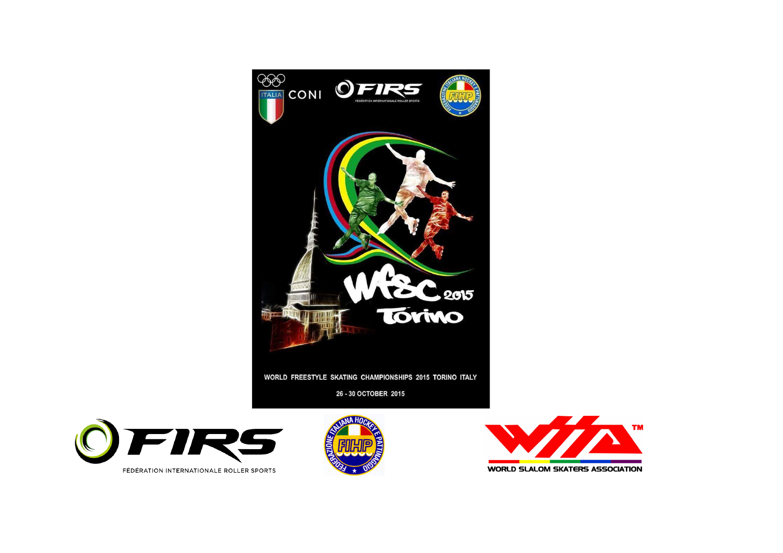

WORLD FREESTYLE SKATING CHAMPIONSHIPS 2015 TORINO ITALY

26 - 30 OCTOBER 2015